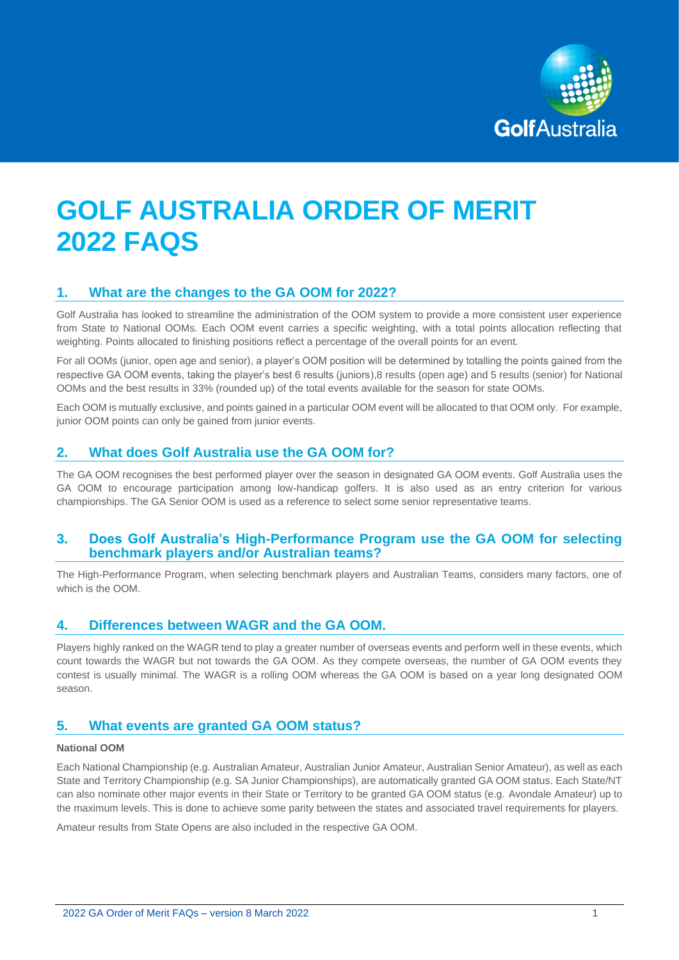

# **GOLF AUSTRALIA ORDER OF MERIT 2022 FAQS**

## **1. What are the changes to the GA OOM for 2022?**

Golf Australia has looked to streamline the administration of the OOM system to provide a more consistent user experience from State to National OOMs. Each OOM event carries a specific weighting, with a total points allocation reflecting that weighting. Points allocated to finishing positions reflect a percentage of the overall points for an event.

For all OOMs (junior, open age and senior), a player's OOM position will be determined by totalling the points gained from the respective GA OOM events, taking the player's best 6 results (juniors),8 results (open age) and 5 results (senior) for National OOMs and the best results in 33% (rounded up) of the total events available for the season for state OOMs.

Each OOM is mutually exclusive, and points gained in a particular OOM event will be allocated to that OOM only. For example, junior OOM points can only be gained from junior events.

## **2. What does Golf Australia use the GA OOM for?**

The GA OOM recognises the best performed player over the season in designated GA OOM events. Golf Australia uses the GA OOM to encourage participation among low-handicap golfers. It is also used as an entry criterion for various championships. The GA Senior OOM is used as a reference to select some senior representative teams.

#### **3. Does Golf Australia's High-Performance Program use the GA OOM for selecting benchmark players and/or Australian teams?**

The High-Performance Program, when selecting benchmark players and Australian Teams, considers many factors, one of which is the OOM.

#### **4. Differences between WAGR and the GA OOM.**

Players highly ranked on the WAGR tend to play a greater number of overseas events and perform well in these events, which count towards the WAGR but not towards the GA OOM. As they compete overseas, the number of GA OOM events they contest is usually minimal. The WAGR is a rolling OOM whereas the GA OOM is based on a year long designated OOM season.

## **5. What events are granted GA OOM status?**

#### **National OOM**

Each National Championship (e.g. Australian Amateur, Australian Junior Amateur, Australian Senior Amateur), as well as each State and Territory Championship (e.g. SA Junior Championships), are automatically granted GA OOM status. Each State/NT can also nominate other major events in their State or Territory to be granted GA OOM status (e.g. Avondale Amateur) up to the maximum levels. This is done to achieve some parity between the states and associated travel requirements for players.

Amateur results from State Opens are also included in the respective GA OOM.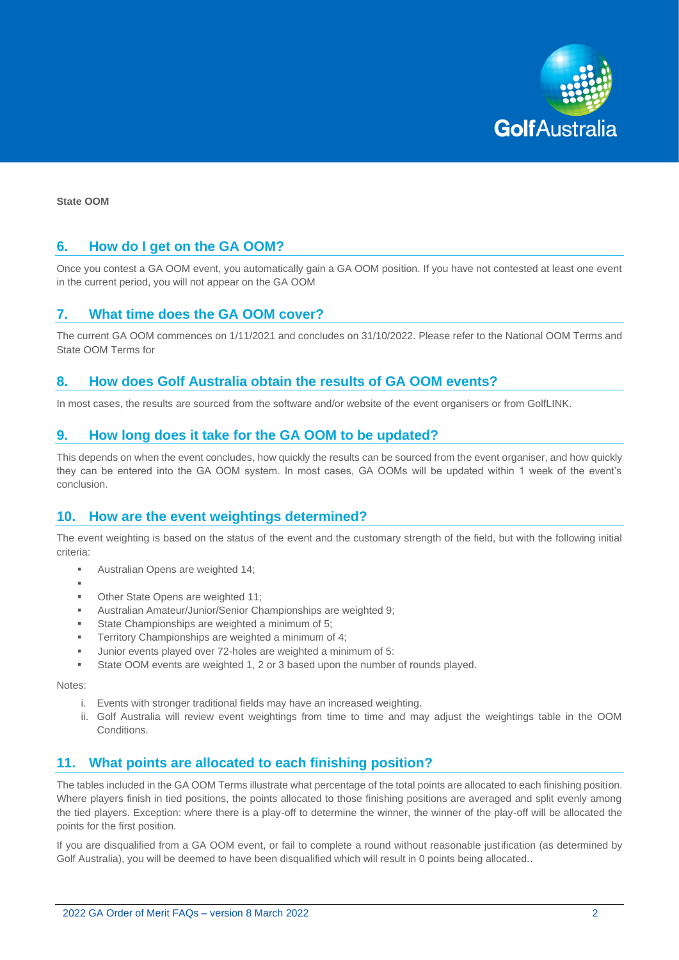

**State OOM**

### **6. How do I get on the GA OOM?**

Once you contest a GA OOM event, you automatically gain a GA OOM position. If you have not contested at least one event in the current period, you will not appear on the GA OOM

### **7. What time does the GA OOM cover?**

The current GA OOM commences on 1/11/2021 and concludes on 31/10/2022. Please refer to the National OOM Terms and State OOM Terms for

#### **8. How does Golf Australia obtain the results of GA OOM events?**

In most cases, the results are sourced from the software and/or website of the event organisers or from GolfLINK.

#### **9. How long does it take for the GA OOM to be updated?**

This depends on when the event concludes, how quickly the results can be sourced from the event organiser, and how quickly they can be entered into the GA OOM system. In most cases, GA OOMs will be updated within 1 week of the event's conclusion.

#### **10. How are the event weightings determined?**

The event weighting is based on the status of the event and the customary strength of the field, but with the following initial criteria:

- Australian Opens are weighted 14:
- ▪
- Other State Opens are weighted 11;
- Australian Amateur/Junior/Senior Championships are weighted 9:
- State Championships are weighted a minimum of 5:
- Territory Championships are weighted a minimum of 4;
- Junior events played over 72-holes are weighted a minimum of 5:
- State OOM events are weighted 1, 2 or 3 based upon the number of rounds played.

Notes:

- i. Events with stronger traditional fields may have an increased weighting.
- ii. Golf Australia will review event weightings from time to time and may adjust the weightings table in the OOM Conditions.

## **11. What points are allocated to each finishing position?**

The tables included in the GA OOM Terms illustrate what percentage of the total points are allocated to each finishing position. Where players finish in tied positions, the points allocated to those finishing positions are averaged and split evenly among the tied players. Exception: where there is a play-off to determine the winner, the winner of the play-off will be allocated the points for the first position.

If you are disqualified from a GA OOM event, or fail to complete a round without reasonable justification (as determined by Golf Australia), you will be deemed to have been disqualified which will result in 0 points being allocated..